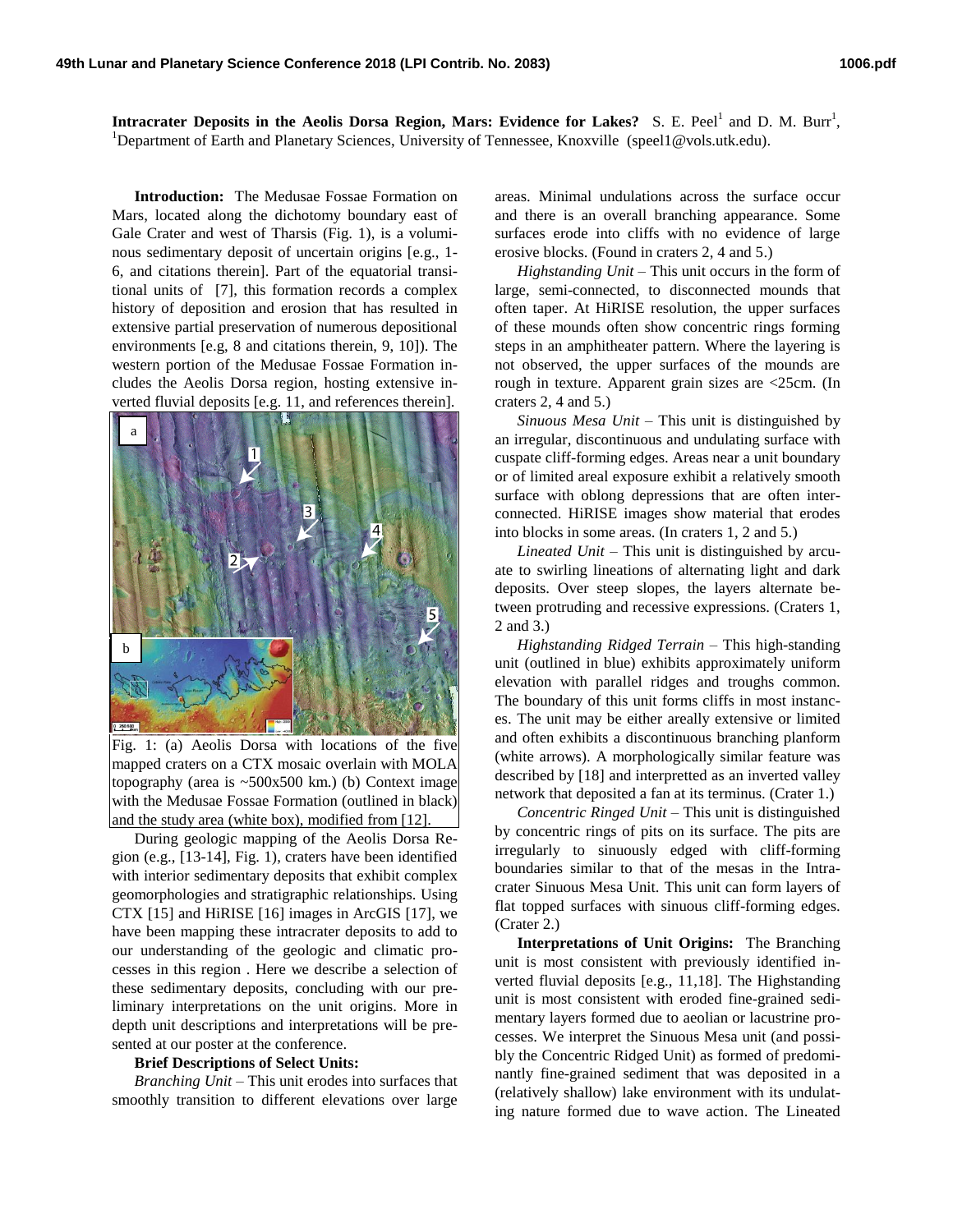**Intracrater Deposits in the Aeolis Dorsa Region, Mars: Evidence for Lakes?** S. E. Peel<sup>1</sup> and D. M. Burr<sup>1</sup>, <sup>1</sup>Department of Earth and Planetary Sciences, University of Tennessee, Knoxville (speel1@vols.utk.edu).

**Introduction:** The Medusae Fossae Formation on Mars, located along the dichotomy boundary east of Gale Crater and west of Tharsis (Fig. 1), is a voluminous sedimentary deposit of uncertain origins [e.g., 1- 6, and citations therein]. Part of the equatorial transitional units of [7], this formation records a complex history of deposition and erosion that has resulted in extensive partial preservation of numerous depositional environments [e.g, 8 and citations therein, 9, 10]). The western portion of the Medusae Fossae Formation includes the Aeolis Dorsa region, hosting extensive inverted fluvial deposits [e.g. 11, and references therein].



Fig. 1: (a) Aeolis Dorsa with locations of the five mapped craters on a CTX mosaic overlain with MOLA topography (area is  $\sim 500x500$  km.) (b) Context image with the Medusae Fossae Formation (outlined in black) and the study area (white box), modified from [12].

During geologic mapping of the Aeolis Dorsa Region (e.g., [13-14], Fig. 1), craters have been identified with interior sedimentary deposits that exhibit complex geomorphologies and stratigraphic relationships. Using CTX [15] and HiRISE [16] images in ArcGIS [17], we have been mapping these intracrater deposits to add to our understanding of the geologic and climatic processes in this region . Here we describe a selection of these sedimentary deposits, concluding with our preliminary interpretations on the unit origins. More in depth unit descriptions and interpretations will be presented at our poster at the conference.

## **Brief Descriptions of Select Units:**

*Branching Unit* – This unit erodes into surfaces that smoothly transition to different elevations over large

areas. Minimal undulations across the surface occur and there is an overall branching appearance. Some surfaces erode into cliffs with no evidence of large erosive blocks. (Found in craters 2, 4 and 5.)

*Highstanding Unit* – This unit occurs in the form of large, semi-connected, to disconnected mounds that often taper. At HiRISE resolution, the upper surfaces of these mounds often show concentric rings forming steps in an amphitheater pattern. Where the layering is not observed, the upper surfaces of the mounds are rough in texture. Apparent grain sizes are <25cm. (In craters 2, 4 and 5.)

*Sinuous Mesa Unit –* This unit is distinguished by an irregular, discontinuous and undulating surface with cuspate cliff-forming edges. Areas near a unit boundary or of limited areal exposure exhibit a relatively smooth surface with oblong depressions that are often interconnected. HiRISE images show material that erodes into blocks in some areas. (In craters 1, 2 and 5.)

*Lineated Unit* – This unit is distinguished by arcuate to swirling lineations of alternating light and dark deposits. Over steep slopes, the layers alternate between protruding and recessive expressions. (Craters 1, 2 and 3.)

*Highstanding Ridged Terrain* – This high-standing unit (outlined in blue) exhibits approximately uniform elevation with parallel ridges and troughs common. The boundary of this unit forms cliffs in most instances. The unit may be either areally extensive or limited and often exhibits a discontinuous branching planform (white arrows). A morphologically similar feature was described by [18] and interpretted as an inverted valley network that deposited a fan at its terminus. (Crater 1.)

*Concentric Ringed Unit* – This unit is distinguished by concentric rings of pits on its surface. The pits are irregularly to sinuously edged with cliff-forming boundaries similar to that of the mesas in the Intracrater Sinuous Mesa Unit. This unit can form layers of flat topped surfaces with sinuous cliff-forming edges. (Crater 2.)

**Interpretations of Unit Origins:** The Branching unit is most consistent with previously identified inverted fluvial deposits [e.g., 11,18]. The Highstanding unit is most consistent with eroded fine-grained sedimentary layers formed due to aeolian or lacustrine processes. We interpret the Sinuous Mesa unit (and possibly the Concentric Ridged Unit) as formed of predominantly fine-grained sediment that was deposited in a (relatively shallow) lake environment with its undulating nature formed due to wave action. The Lineated